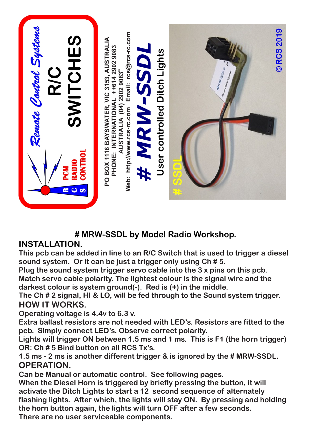

## **# MRW-SSDL by Model Radio Workshop.**

## **INSTALLATION.**

**This pcb can be added in line to an R/C Switch that is used to trigger a diesel sound system. Or it can be just a trigger only using Ch # 5.**

**Plug the sound system trigger servo cable into the 3 x pins on this pcb.** 

**Match servo cable polarity. The lightest colour is the signal wire and the darkest colour is system ground(-). Red is (+) in the middle.**

**The Ch # 2 signal, HI & LO, will be fed through to the Sound system trigger. HOW IT WORKS.**

**Operating voltage is 4.4v to 6.3 v.** 

**Extra ballast resistors are not needed with LED's. Resistors are fitted to the pcb. Simply connect LED's. Observe correct polarity.** 

**Lights will trigger ON between 1.5 ms and 1 ms. This is F1 (the horn trigger) OR: Ch # 5 Bind button on all RCS Tx's.**

**1.5 ms - 2 ms is another different trigger & is ignored by the # MRW-SSDL. OPERATION.**

**Can be Manual or automatic control. See following pages.**

**When the Diesel Horn is triggered by briefly pressing the button, it will activate the Ditch Lights to start a 12 second sequence of alternately flashing lights. After which, the lights will stay ON. By pressing and holding the horn button again, the lights will turn OFF after a few seconds.**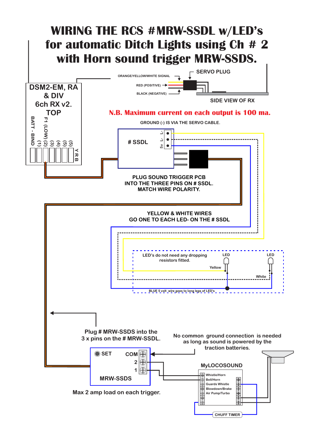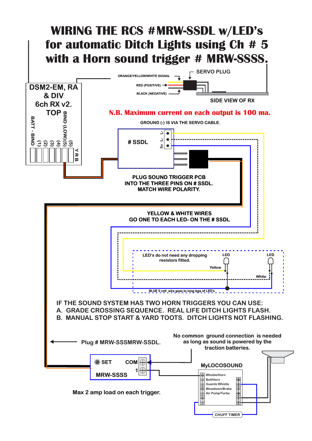